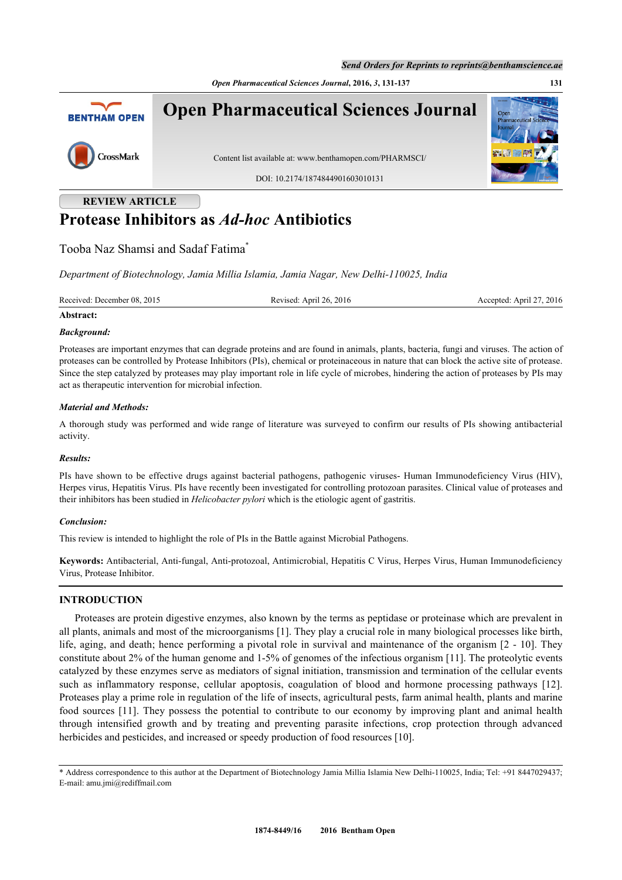*Open Pharmaceutical Sciences Journal***, 2016,** *3***, 131-137 131**



# **REVIEW ARTICLE Protease Inhibitors as** *Ad-hoc* **Antibiotics**

## Tooba Naz Shamsi and Sadaf Fatima[\\*](#page-0-0)

*Department of Biotechnology, Jamia Millia Islamia, Jamia Nagar, New Delhi-110025, India*

| Received: December 08, 2015 | Revised: April 26, 2016 | 2016<br>Accepted: April 27 |
|-----------------------------|-------------------------|----------------------------|
|                             |                         |                            |

#### **Abstract:**

#### *Background:*

Proteases are important enzymes that can degrade proteins and are found in animals, plants, bacteria, fungi and viruses. The action of proteases can be controlled by Protease Inhibitors (PIs), chemical or proteinaceous in nature that can block the active site of protease. Since the step catalyzed by proteases may play important role in life cycle of microbes, hindering the action of proteases by PIs may act as therapeutic intervention for microbial infection.

#### *Material and Methods:*

A thorough study was performed and wide range of literature was surveyed to confirm our results of PIs showing antibacterial activity.

#### *Results:*

PIs have shown to be effective drugs against bacterial pathogens, pathogenic viruses- Human Immunodeficiency Virus (HIV), Herpes virus, Hepatitis Virus. PIs have recently been investigated for controlling protozoan parasites. Clinical value of proteases and their inhibitors has been studied in *Helicobacter pylori* which is the etiologic agent of gastritis.

#### *Conclusion:*

This review is intended to highlight the role of PIs in the Battle against Microbial Pathogens.

**Keywords:** Antibacterial, Anti-fungal, Anti-protozoal, Antimicrobial, Hepatitis C Virus, Herpes Virus, Human Immunodeficiency Virus, Protease Inhibitor.

## **INTRODUCTION**

Proteases are protein digestive enzymes, also known by the terms as peptidase or proteinase which are prevalent in all plants, animals and most of the microorganisms [\[1](#page-4-0)]. They play a crucial role in many biological processes like birth, life, aging, and death; hence performing a pivotal role in survival and maintenance of the organism [[2](#page-4-1) - [10](#page-4-2)]. They constitute about 2% of the human genome and 1-5% of genomes of the infectious organism [\[11](#page-4-3)]. The proteolytic events catalyzed by these enzymes serve as mediators of signal initiation, transmission and termination of the cellular events such as inflammatory response, cellular apoptosis, coagulation of blood and hormone processing pathways [\[12\]](#page-4-4). Proteases play a prime role in regulation of the life of insects, agricultural pests, farm animal health, plants and marine food sources [[11](#page-4-3)]. They possess the potential to contribute to our economy by improving plant and animal health through intensified growth and by treating and preventing parasite infections, crop protection through advanced herbicides and pesticides, and increased or speedy production of food resources [\[10](#page-4-2)].

<span id="page-0-0"></span><sup>\*</sup> Address correspondence to this author at the Department of Biotechnology Jamia Millia Islamia New Delhi-110025, India; Tel: +91 8447029437; E-mail: [amu.jmi@rediffmail.com](mailto:amu.jmi@rediffmail.com)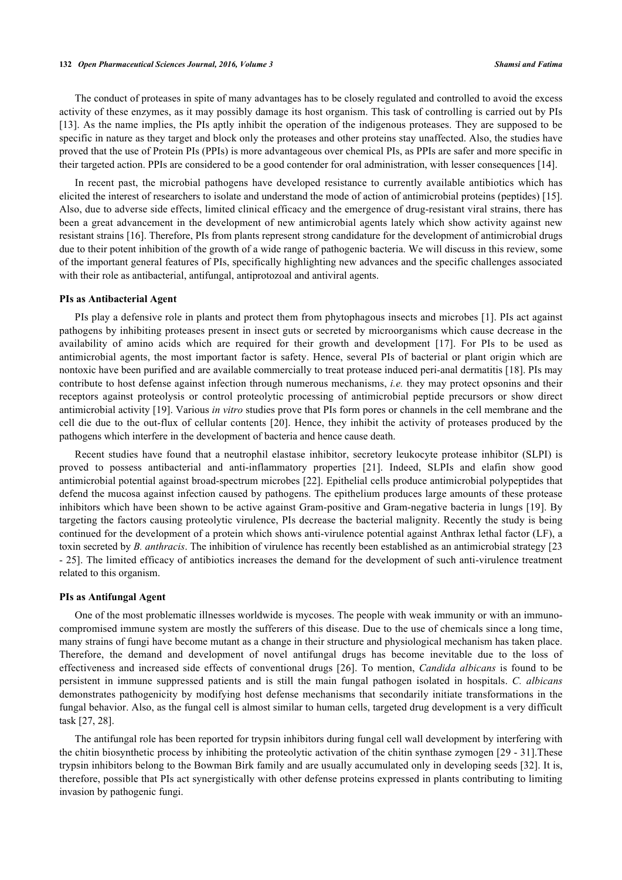#### **132** *Open Pharmaceutical Sciences Journal, 2016, Volume 3 Shamsi and Fatima*

The conduct of proteases in spite of many advantages has to be closely regulated and controlled to avoid the excess activity of these enzymes, as it may possibly damage its host organism. This task of controlling is carried out by PIs [\[13](#page-4-5)]. As the name implies, the PIs aptly inhibit the operation of the indigenous proteases. They are supposed to be specific in nature as they target and block only the proteases and other proteins stay unaffected. Also, the studies have proved that the use of Protein PIs (PPIs) is more advantageous over chemical PIs, as PPIs are safer and more specific in their targeted action. PPIs are considered to be a good contender for oral administration, with lesser consequences [[14\]](#page-4-6).

In recent past, the microbial pathogens have developed resistance to currently available antibiotics which has elicited the interest of researchers to isolate and understand the mode of action of antimicrobial proteins (peptides) [[15\]](#page-4-7). Also, due to adverse side effects, limited clinical efficacy and the emergence of drug-resistant viral strains, there has been a great advancement in the development of new antimicrobial agents lately which show activity against new resistant strains [\[16](#page-4-8)]. Therefore, PIs from plants represent strong candidature for the development of antimicrobial drugs due to their potent inhibition of the growth of a wide range of pathogenic bacteria. We will discuss in this review, some of the important general features of PIs, specifically highlighting new advances and the specific challenges associated with their role as antibacterial, antifungal, antiprotozoal and antiviral agents.

#### **PIs as Antibacterial Agent**

PIs play a defensive role in plants and protect them from phytophagous insects and microbes [\[1](#page-4-0)]. PIs act against pathogens by inhibiting proteases present in insect guts or secreted by microorganisms which cause decrease in the availability of amino acids which are required for their growth and development [\[17](#page-4-9)]. For PIs to be used as antimicrobial agents, the most important factor is safety. Hence, several PIs of bacterial or plant origin which are nontoxic have been purified and are available commercially to treat protease induced peri-anal dermatitis [\[18](#page-4-10)]. PIs may contribute to host defense against infection through numerous mechanisms, *i.e.* they may protect opsonins and their receptors against proteolysis or control proteolytic processing of antimicrobial peptide precursors or show direct antimicrobial activity [[19\]](#page-4-11). Various *in vitro* studies prove that PIs form pores or channels in the cell membrane and the cell die due to the out-flux of cellular contents [[20](#page-4-12)]. Hence, they inhibit the activity of proteases produced by the pathogens which interfere in the development of bacteria and hence cause death.

Recent studies have found that a neutrophil elastase inhibitor, secretory leukocyte protease inhibitor (SLPI) is proved to possess antibacterial and anti-inflammatory properties[[21\]](#page-4-13). Indeed, SLPIs and elafin show good antimicrobial potential against broad-spectrum microbes [[22\]](#page-4-14). Epithelial cells produce antimicrobial polypeptides that defend the mucosa against infection caused by pathogens. The epithelium produces large amounts of these protease inhibitors which have been shown to be active against Gram-positive and Gram-negative bacteria in lungs [\[19\]](#page-4-11). By targeting the factors causing proteolytic virulence, PIs decrease the bacterial malignity. Recently the study is being continued for the development of a protein which shows anti-virulence potential against Anthrax lethal factor (LF), a toxin secreted by *B. anthracis*. The inhibition of virulence has recently been established as an antimicrobial strategy [[23](#page-5-0) - [25](#page-5-1)]. The limited efficacy of antibiotics increases the demand for the development of such anti-virulence treatment related to this organism.

#### **PIs as Antifungal Agent**

One of the most problematic illnesses worldwide is mycoses. The people with weak immunity or with an immunocompromised immune system are mostly the sufferers of this disease. Due to the use of chemicals since a long time, many strains of fungi have become mutant as a change in their structure and physiological mechanism has taken place. Therefore, the demand and development of novel antifungal drugs has become inevitable due to the loss of effectiveness and increased side effects of conventional drugs[[26](#page-5-2)]. To mention, *Candida albicans* is found to be persistent in immune suppressed patients and is still the main fungal pathogen isolated in hospitals. *C. albicans* demonstrates pathogenicity by modifying host defense mechanisms that secondarily initiate transformations in the fungal behavior. Also, as the fungal cell is almost similar to human cells, targeted drug development is a very difficult task [[27,](#page-5-3) [28\]](#page-5-4).

The antifungal role has been reported for trypsin inhibitors during fungal cell wall development by interfering with the chitin biosynthetic process by inhibiting the proteolytic activation of the chitin synthase zymogen [[29](#page-5-5) - [31](#page-5-6)].These trypsin inhibitors belong to the Bowman Birk family and are usually accumulated only in developing seeds [\[32\]](#page-5-7). It is, therefore, possible that PIs act synergistically with other defense proteins expressed in plants contributing to limiting invasion by pathogenic fungi.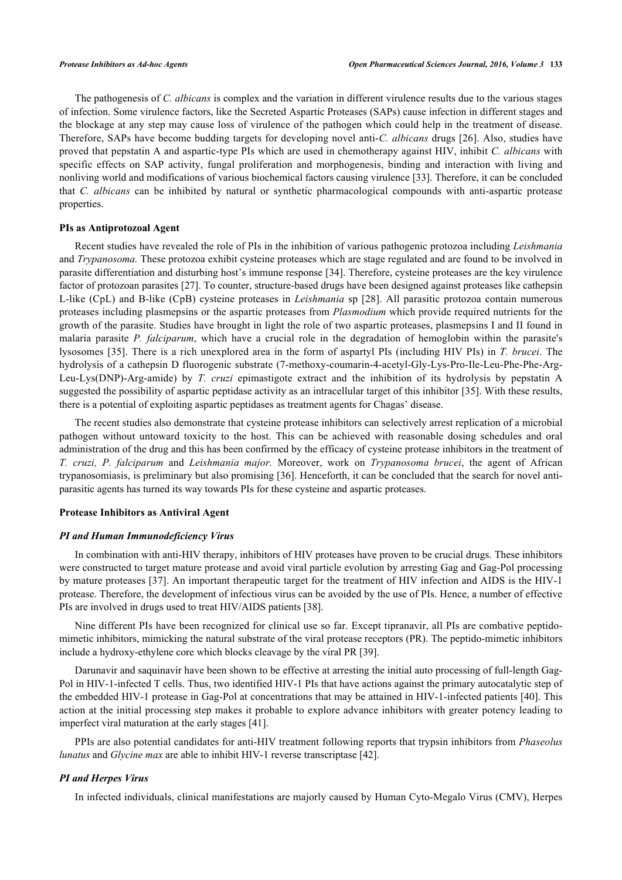The pathogenesis of *C. albicans* is complex and the variation in different virulence results due to the various stages of infection. Some virulence factors, like the Secreted Aspartic Proteases (SAPs) cause infection in different stages and the blockage at any step may cause loss of virulence of the pathogen which could help in the treatment of disease. Therefore, SAPs have become budding targets for developing novel anti-*C. albicans* drugs [[26](#page-5-2)]. Also, studies have proved that pepstatin A and aspartic-type PIs which are used in chemotherapy against HIV, inhibit *C. albicans* with specific effects on SAP activity, fungal proliferation and morphogenesis, binding and interaction with living and nonliving world and modifications of various biochemical factors causing virulence [\[33](#page-5-8)]. Therefore, it can be concluded that *C. albicans* can be inhibited by natural or synthetic pharmacological compounds with anti-aspartic protease properties.

#### **PIs as Antiprotozoal Agent**

Recent studies have revealed the role of PIs in the inhibition of various pathogenic protozoa including *Leishmania* and *Trypanosoma.* These protozoa exhibit cysteine proteases which are stage regulated and are found to be involved in parasite differentiation and disturbing host's immune response [[34](#page-5-9)]. Therefore, cysteine proteases are the key virulence factor of protozoan parasites [[27\]](#page-5-3). To counter, structure-based drugs have been designed against proteases like cathepsin L-like (CpL) and B-like (CpB) cysteine proteases in *Leishmania* sp [[28\]](#page-5-4). All parasitic protozoa contain numerous proteases including plasmepsins or the aspartic proteases from *Plasmodium* which provide required nutrients for the growth of the parasite. Studies have brought in light the role of two aspartic proteases, plasmepsins I and II found in malaria parasite *P. falciparum*, which have a crucial role in the degradation of hemoglobin within the parasite's lysosomes [\[35\]](#page-5-10). There is a rich unexplored area in the form of aspartyl PIs (including HIV PIs) in *T. brucei*. The hydrolysis of a cathepsin D fluorogenic substrate (7-methoxy-coumarin-4-acetyl-Gly-Lys-Pro-Ile-Leu-Phe-Phe-Arg-Leu-Lys(DNP)-Arg-amide) by *T. cruzi* epimastigote extract and the inhibition of its hydrolysis by pepstatin A suggested the possibility of aspartic peptidase activity as an intracellular target of this inhibitor [\[35](#page-5-10)]. With these results, there is a potential of exploiting aspartic peptidases as treatment agents for Chagas' disease.

The recent studies also demonstrate that cysteine protease inhibitors can selectively arrest replication of a microbial pathogen without untoward toxicity to the host. This can be achieved with reasonable dosing schedules and oral administration of the drug and this has been confirmed by the efficacy of cysteine protease inhibitors in the treatment of *T. cruzi, P. falciparum* and *Leishmania major.* Moreover, work on *Trypanosoma brucei*, the agent of African trypanosomiasis, is preliminary but also promising [\[36](#page-5-11)]. Henceforth, it can be concluded that the search for novel antiparasitic agents has turned its way towards PIs for these cysteine and aspartic proteases.

### **Protease Inhibitors as Antiviral Agent**

#### *PI and Human Immunodeficiency Virus*

In combination with anti-HIV therapy, inhibitors of HIV proteases have proven to be crucial drugs. These inhibitors were constructed to target mature protease and avoid viral particle evolution by arresting Gag and Gag-Pol processing by mature proteases [[37\]](#page-5-12). An important therapeutic target for the treatment of HIV infection and AIDS is the HIV-1 protease. Therefore, the development of infectious virus can be avoided by the use of PIs. Hence, a number of effective PIs are involved in drugs used to treat HIV/AIDS patients [[38\]](#page-5-13).

Nine different PIs have been recognized for clinical use so far. Except tipranavir, all PIs are combative peptidomimetic inhibitors, mimicking the natural substrate of the viral protease receptors (PR). The peptido-mimetic inhibitors include a hydroxy-ethylene core which blocks cleavage by the viral PR [\[39](#page-5-14)].

Darunavir and saquinavir have been shown to be effective at arresting the initial auto processing of full-length Gag-Pol in HIV-1-infected T cells. Thus, two identified HIV-1 PIs that have actions against the primary autocatalytic step of the embedded HIV-1 protease in Gag-Pol at concentrations that may be attained in HIV-1-infected patients [[40\]](#page-5-15). This action at the initial processing step makes it probable to explore advance inhibitors with greater potency leading to imperfect viral maturation at the early stages [\[41](#page-5-16)].

PPIs are also potential candidates for anti-HIV treatment following reports that trypsin inhibitors from *Phaseolus lunatus* and *Glycine max* are able to inhibit HIV-1 reverse transcriptase [\[42](#page-5-17)].

#### *PI and Herpes Virus*

In infected individuals, clinical manifestations are majorly caused by Human Cyto-Megalo Virus (CMV), Herpes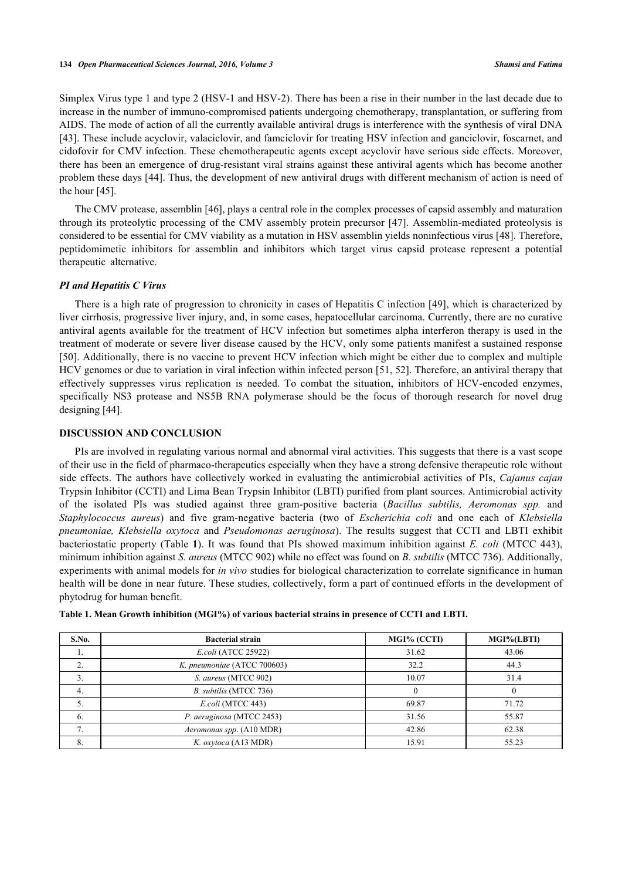Simplex Virus type 1 and type 2 (HSV-1 and HSV-2). There has been a rise in their number in the last decade due to increase in the number of immuno-compromised patients undergoing chemotherapy, transplantation, or suffering from AIDS. The mode of action of all the currently available antiviral drugs is interference with the synthesis of viral DNA [\[43](#page-6-0)]. These include acyclovir, valaciclovir, and famciclovir for treating HSV infection and ganciclovir, foscarnet, and cidofovir for CMV infection. These chemotherapeutic agents except acyclovir have serious side effects. Moreover, there has been an emergence of drug-resistant viral strains against these antiviral agents which has become another problem these days [\[44](#page-6-1)]. Thus, the development of new antiviral drugs with different mechanism of action is need of the hour [[45\]](#page-6-2).

The CMV protease, assemblin [\[46](#page-6-3)], plays a central role in the complex processes of capsid assembly and maturation through its proteolytic processing of the CMV assembly protein precursor [\[47\]](#page-6-4). Assemblin-mediated proteolysis is considered to be essential for CMV viability as a mutation in HSV assemblin yields noninfectious virus [\[48](#page-6-5)]. Therefore, peptidomimetic inhibitors for assemblin and inhibitors which target virus capsid protease represent a potential therapeutic alternative.

#### *PI and Hepatitis C Virus*

There is a high rate of progression to chronicity in cases of Hepatitis C infection [[49\]](#page-6-6), which is characterized by liver cirrhosis, progressive liver injury, and, in some cases, hepatocellular carcinoma. Currently, there are no curative antiviral agents available for the treatment of HCV infection but sometimes alpha interferon therapy is used in the treatment of moderate or severe liver disease caused by the HCV, only some patients manifest a sustained response [\[50](#page-6-7)]. Additionally, there is no vaccine to prevent HCV infection which might be either due to complex and multiple HCV genomes or due to variation in viral infection within infected person [\[51](#page-6-8), [52\]](#page-6-9). Therefore, an antiviral therapy that effectively suppresses virus replication is needed. To combat the situation, inhibitors of HCV-encoded enzymes, specifically NS3 protease and NS5B RNA polymerase should be the focus of thorough research for novel drug designing [\[44](#page-6-1)].

### **DISCUSSION AND CONCLUSION**

PIs are involved in regulating various normal and abnormal viral activities. This suggests that there is a vast scope of their use in the field of pharmaco-therapeutics especially when they have a strong defensive therapeutic role without side effects. The authors have collectively worked in evaluating the antimicrobial activities of PIs, *Cajanus cajan* Trypsin Inhibitor (CCTI) and Lima Bean Trypsin Inhibitor (LBTI) purified from plant sources. Antimicrobial activity of the isolated PIs was studied against three gram-positive bacteria (*Bacillus subtilis, Aeromonas spp.* and *Staphylococcus aureus*) and five gram-negative bacteria (two of *Escherichia coli* and one each of *Klebsiella pneumoniae, Klebsiella oxytoca* and *Pseudomonas aeruginosa*). The results suggest that CCTI and LBTI exhibit bacteriostatic property (Table **[1](#page-3-0)**). It was found that PIs showed maximum inhibition against *E. coli* (MTCC 443), minimum inhibition against *S. aureus* (MTCC 902) while no effect was found on *B. subtilis* (MTCC 736). Additionally, experiments with animal models for *in vivo* studies for biological characterization to correlate significance in human health will be done in near future. These studies, collectively, form a part of continued efforts in the development of phytodrug for human benefit.

| S.No.                       | <b>Bacterial strain</b>     | MGI% (CCTI) | MGI%(LBTI) |
|-----------------------------|-----------------------------|-------------|------------|
|                             | <i>E.coli</i> (ATCC 25922)  | 31.62       | 43.06      |
| $\mathcal{L}$               | K. pneumoniae (ATCC 700603) | 32.2        | 44.3       |
|                             | S. aureus (MTCC 902)        | 10.07       | 31.4       |
| 4.                          | B. subtilis (MTCC 736)      |             |            |
|                             | E.coli (MTCC 443)           | 69.87       | 71.72      |
| 6.                          | P. aeruginosa (MTCC 2453)   | 31.56       | 55.87      |
| $\mathcal{L}$<br>$\sqrt{2}$ | Aeromonas spp. (A10 MDR)    | 42.86       | 62.38      |
| 8.                          | K. oxytoca (A13 MDR)        | 15.91       | 55.23      |

<span id="page-3-0"></span>

|  | Table 1. Mean Growth inhibition (MGI%) of various bacterial strains in presence of CCTI and LBTI. |  |  |  |
|--|---------------------------------------------------------------------------------------------------|--|--|--|
|--|---------------------------------------------------------------------------------------------------|--|--|--|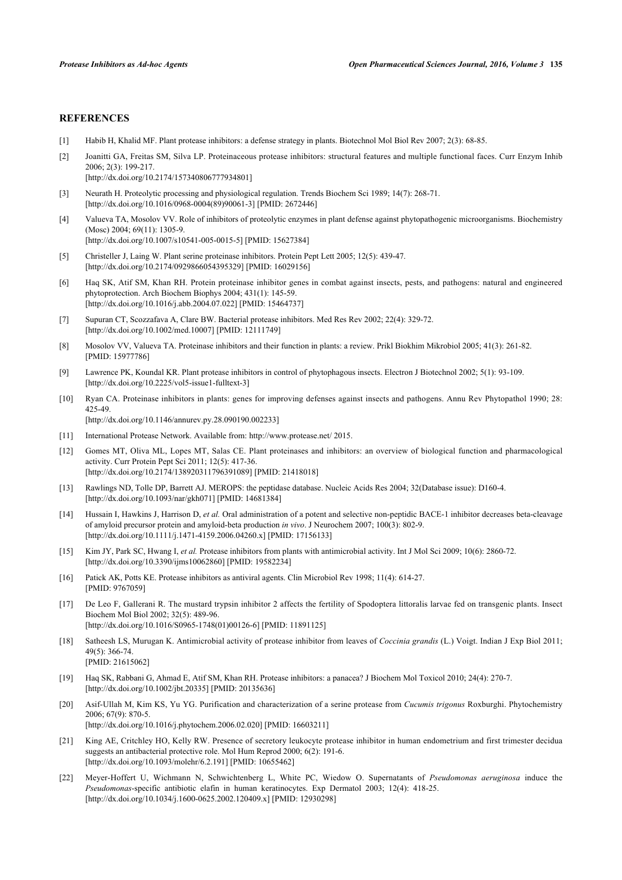#### **REFERENCES**

- <span id="page-4-0"></span>[1] Habib H, Khalid MF. Plant protease inhibitors: a defense strategy in plants. Biotechnol Mol Biol Rev 2007; 2(3): 68-85.
- <span id="page-4-1"></span>[2] Joanitti GA, Freitas SM, Silva LP. Proteinaceous protease inhibitors: structural features and multiple functional faces. Curr Enzym Inhib 2006; 2(3): 199-217. [\[http://dx.doi.org/10.2174/157340806777934801\]](http://dx.doi.org/10.2174/157340806777934801)
- [3] Neurath H. Proteolytic processing and physiological regulation. Trends Biochem Sci 1989; 14(7): 268-71. [\[http://dx.doi.org/10.1016/0968-0004\(89\)90061-3](http://dx.doi.org/10.1016/0968-0004(89)90061-3)] [PMID: [2672446](http://www.ncbi.nlm.nih.gov/pubmed/2672446)]
- [4] Valueva TA, Mosolov VV. Role of inhibitors of proteolytic enzymes in plant defense against phytopathogenic microorganisms. Biochemistry (Mosc) 2004; 69(11): 1305-9. [\[http://dx.doi.org/10.1007/s10541-005-0015-5\]](http://dx.doi.org/10.1007/s10541-005-0015-5) [PMID: [15627384](http://www.ncbi.nlm.nih.gov/pubmed/15627384)]
- [5] Christeller J, Laing W. Plant serine proteinase inhibitors. Protein Pept Lett 2005; 12(5): 439-47. [\[http://dx.doi.org/10.2174/0929866054395329\]](http://dx.doi.org/10.2174/0929866054395329) [PMID: [16029156](http://www.ncbi.nlm.nih.gov/pubmed/16029156)]
- [6] Haq SK, Atif SM, Khan RH. Protein proteinase inhibitor genes in combat against insects, pests, and pathogens: natural and engineered phytoprotection. Arch Biochem Biophys 2004; 431(1): 145-59. [\[http://dx.doi.org/10.1016/j.abb.2004.07.022\]](http://dx.doi.org/10.1016/j.abb.2004.07.022) [PMID: [15464737](http://www.ncbi.nlm.nih.gov/pubmed/15464737)]
- [7] Supuran CT, Scozzafava A, Clare BW. Bacterial protease inhibitors. Med Res Rev 2002; 22(4): 329-72. [\[http://dx.doi.org/10.1002/med.10007\]](http://dx.doi.org/10.1002/med.10007) [PMID: [12111749](http://www.ncbi.nlm.nih.gov/pubmed/12111749)]
- [8] Mosolov VV, Valueva TA. Proteinase inhibitors and their function in plants: a review. Prikl Biokhim Mikrobiol 2005; 41(3): 261-82. [PMID: [15977786\]](http://www.ncbi.nlm.nih.gov/pubmed/15977786)
- [9] Lawrence PK, Koundal KR. Plant protease inhibitors in control of phytophagous insects. Electron J Biotechnol 2002; 5(1): 93-109. [\[http://dx.doi.org/10.2225/vol5-issue1-fulltext-3](http://dx.doi.org/10.2225/vol5-issue1-fulltext-3)]
- <span id="page-4-2"></span>[10] Ryan CA. Proteinase inhibitors in plants: genes for improving defenses against insects and pathogens. Annu Rev Phytopathol 1990; 28: 425-49.

[\[http://dx.doi.org/10.1146/annurev.py.28.090190.002233\]](http://dx.doi.org/10.1146/annurev.py.28.090190.002233)

- <span id="page-4-3"></span>[11] International Protease Network. Available from: <http://www.protease.net/>2015.
- <span id="page-4-4"></span>[12] Gomes MT, Oliva ML, Lopes MT, Salas CE. Plant proteinases and inhibitors: an overview of biological function and pharmacological activity. Curr Protein Pept Sci 2011; 12(5): 417-36. [\[http://dx.doi.org/10.2174/138920311796391089\]](http://dx.doi.org/10.2174/138920311796391089) [PMID: [21418018](http://www.ncbi.nlm.nih.gov/pubmed/21418018)]
- <span id="page-4-5"></span>[13] Rawlings ND, Tolle DP, Barrett AJ. MEROPS: the peptidase database. Nucleic Acids Res 2004; 32(Database issue): D160-4. [\[http://dx.doi.org/10.1093/nar/gkh071](http://dx.doi.org/10.1093/nar/gkh071)] [PMID: [14681384\]](http://www.ncbi.nlm.nih.gov/pubmed/14681384)
- <span id="page-4-6"></span>[14] Hussain I, Hawkins J, Harrison D, *et al.* Oral administration of a potent and selective non-peptidic BACE-1 inhibitor decreases beta-cleavage of amyloid precursor protein and amyloid-beta production *in vivo*. J Neurochem 2007; 100(3): 802-9. [\[http://dx.doi.org/10.1111/j.1471-4159.2006.04260.x\]](http://dx.doi.org/10.1111/j.1471-4159.2006.04260.x) [PMID: [17156133](http://www.ncbi.nlm.nih.gov/pubmed/17156133)]
- <span id="page-4-7"></span>[15] Kim JY, Park SC, Hwang I, *et al.* Protease inhibitors from plants with antimicrobial activity. Int J Mol Sci 2009; 10(6): 2860-72. [\[http://dx.doi.org/10.3390/ijms10062860\]](http://dx.doi.org/10.3390/ijms10062860) [PMID: [19582234](http://www.ncbi.nlm.nih.gov/pubmed/19582234)]
- <span id="page-4-8"></span>[16] Patick AK, Potts KE. Protease inhibitors as antiviral agents. Clin Microbiol Rev 1998; 11(4): 614-27. [PMID: [9767059\]](http://www.ncbi.nlm.nih.gov/pubmed/9767059)
- <span id="page-4-9"></span>[17] De Leo F, Gallerani R. The mustard trypsin inhibitor 2 affects the fertility of Spodoptera littoralis larvae fed on transgenic plants. Insect Biochem Mol Biol 2002; 32(5): 489-96. [\[http://dx.doi.org/10.1016/S0965-1748\(01\)00126-6\]](http://dx.doi.org/10.1016/S0965-1748(01)00126-6) [PMID: [11891125](http://www.ncbi.nlm.nih.gov/pubmed/11891125)]
- <span id="page-4-10"></span>[18] Satheesh LS, Murugan K. Antimicrobial activity of protease inhibitor from leaves of *Coccinia grandis* (L.) Voigt. Indian J Exp Biol 2011; 49(5): 366-74. [PMID: [21615062\]](http://www.ncbi.nlm.nih.gov/pubmed/21615062)
- <span id="page-4-11"></span>[19] Haq SK, Rabbani G, Ahmad E, Atif SM, Khan RH. Protease inhibitors: a panacea? J Biochem Mol Toxicol 2010; 24(4): 270-7. [\[http://dx.doi.org/10.1002/jbt.20335](http://dx.doi.org/10.1002/jbt.20335)] [PMID: [20135636\]](http://www.ncbi.nlm.nih.gov/pubmed/20135636)
- <span id="page-4-12"></span>[20] Asif-Ullah M, Kim KS, Yu YG. Purification and characterization of a serine protease from *Cucumis trigonus* Roxburghi. Phytochemistry 2006; 67(9): 870-5. [\[http://dx.doi.org/10.1016/j.phytochem.2006.02.020\]](http://dx.doi.org/10.1016/j.phytochem.2006.02.020) [PMID: [16603211](http://www.ncbi.nlm.nih.gov/pubmed/16603211)]
- <span id="page-4-13"></span>[21] King AE, Critchley HO, Kelly RW. Presence of secretory leukocyte protease inhibitor in human endometrium and first trimester decidua suggests an antibacterial protective role. Mol Hum Reprod 2000; 6(2): 191-6. [\[http://dx.doi.org/10.1093/molehr/6.2.191\]](http://dx.doi.org/10.1093/molehr/6.2.191) [PMID: [10655462](http://www.ncbi.nlm.nih.gov/pubmed/10655462)]
- <span id="page-4-14"></span>[22] Meyer-Hoffert U, Wichmann N, Schwichtenberg L, White PC, Wiedow O. Supernatants of *Pseudomonas aeruginosa* induce the *Pseudomonas*-specific antibiotic elafin in human keratinocytes. Exp Dermatol 2003; 12(4): 418-25. [\[http://dx.doi.org/10.1034/j.1600-0625.2002.120409.x\]](http://dx.doi.org/10.1034/j.1600-0625.2002.120409.x) [PMID: [12930298](http://www.ncbi.nlm.nih.gov/pubmed/12930298)]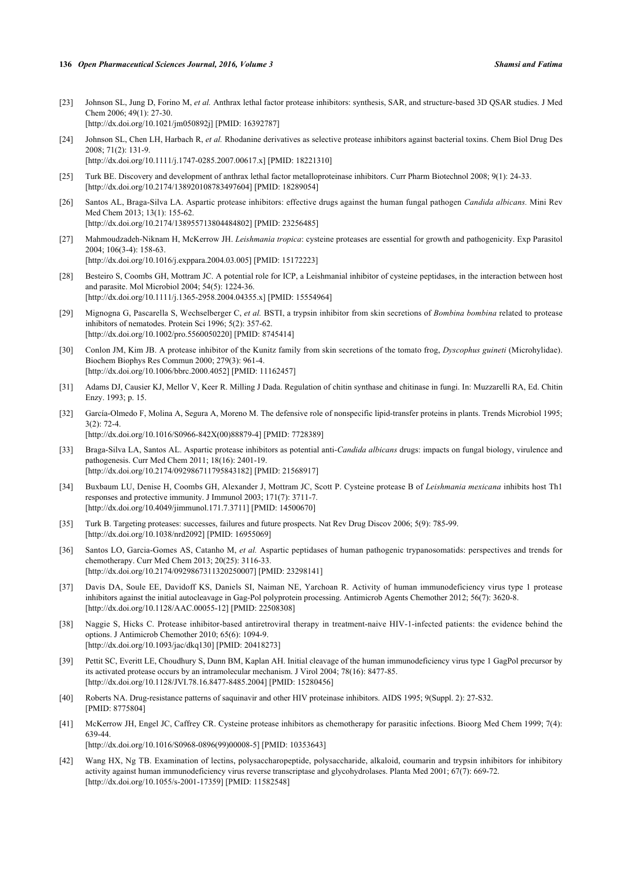- <span id="page-5-0"></span>[23] Johnson SL, Jung D, Forino M, *et al.* Anthrax lethal factor protease inhibitors: synthesis, SAR, and structure-based 3D QSAR studies. J Med Chem 2006; 49(1): 27-30. [\[http://dx.doi.org/10.1021/jm050892j](http://dx.doi.org/10.1021/jm050892j)] [PMID: [16392787](http://www.ncbi.nlm.nih.gov/pubmed/16392787)]
- [24] Johnson SL, Chen LH, Harbach R, *et al.* Rhodanine derivatives as selective protease inhibitors against bacterial toxins. Chem Biol Drug Des 2008; 71(2): 131-9. [\[http://dx.doi.org/10.1111/j.1747-0285.2007.00617.x\]](http://dx.doi.org/10.1111/j.1747-0285.2007.00617.x) [PMID: [18221310](http://www.ncbi.nlm.nih.gov/pubmed/18221310)]
- <span id="page-5-1"></span>[25] Turk BE. Discovery and development of anthrax lethal factor metalloproteinase inhibitors. Curr Pharm Biotechnol 2008; 9(1): 24-33. [\[http://dx.doi.org/10.2174/138920108783497604\]](http://dx.doi.org/10.2174/138920108783497604) [PMID: [18289054](http://www.ncbi.nlm.nih.gov/pubmed/18289054)]
- <span id="page-5-2"></span>[26] Santos AL, Braga-Silva LA. Aspartic protease inhibitors: effective drugs against the human fungal pathogen *Candida albicans.* Mini Rev Med Chem 2013; 13(1): 155-62. [\[http://dx.doi.org/10.2174/138955713804484802\]](http://dx.doi.org/10.2174/138955713804484802) [PMID: [23256485](http://www.ncbi.nlm.nih.gov/pubmed/23256485)]
- <span id="page-5-3"></span>[27] Mahmoudzadeh-Niknam H, McKerrow JH. *Leishmania tropica*: cysteine proteases are essential for growth and pathogenicity. Exp Parasitol 2004; 106(3-4): 158-63. [\[http://dx.doi.org/10.1016/j.exppara.2004.03.005](http://dx.doi.org/10.1016/j.exppara.2004.03.005)] [PMID: [15172223\]](http://www.ncbi.nlm.nih.gov/pubmed/15172223)
- <span id="page-5-4"></span>[28] Besteiro S, Coombs GH, Mottram JC. A potential role for ICP, a Leishmanial inhibitor of cysteine peptidases, in the interaction between host and parasite. Mol Microbiol 2004; 54(5): 1224-36. [\[http://dx.doi.org/10.1111/j.1365-2958.2004.04355.x\]](http://dx.doi.org/10.1111/j.1365-2958.2004.04355.x) [PMID: [15554964](http://www.ncbi.nlm.nih.gov/pubmed/15554964)]
- <span id="page-5-5"></span>[29] Mignogna G, Pascarella S, Wechselberger C, *et al.* BSTI, a trypsin inhibitor from skin secretions of *Bombina bombina* related to protease inhibitors of nematodes. Protein Sci 1996; 5(2): 357-62. [\[http://dx.doi.org/10.1002/pro.5560050220](http://dx.doi.org/10.1002/pro.5560050220)] [PMID: [8745414](http://www.ncbi.nlm.nih.gov/pubmed/8745414)]
- [30] Conlon JM, Kim JB. A protease inhibitor of the Kunitz family from skin secretions of the tomato frog, *Dyscophus guineti* (Microhylidae). Biochem Biophys Res Commun 2000; 279(3): 961-4. [\[http://dx.doi.org/10.1006/bbrc.2000.4052](http://dx.doi.org/10.1006/bbrc.2000.4052)] [PMID: [11162457\]](http://www.ncbi.nlm.nih.gov/pubmed/11162457)
- <span id="page-5-6"></span>[31] Adams DJ, Causier KJ, Mellor V, Keer R. Milling J Dada. Regulation of chitin synthase and chitinase in fungi. In: Muzzarelli RA, Ed. Chitin Enzy. 1993; p. 15.
- <span id="page-5-7"></span>[32] García-Olmedo F, Molina A, Segura A, Moreno M. The defensive role of nonspecific lipid-transfer proteins in plants. Trends Microbiol 1995;  $3(2) \cdot 72 - 4$ [\[http://dx.doi.org/10.1016/S0966-842X\(00\)88879-4\]](http://dx.doi.org/10.1016/S0966-842X(00)88879-4) [PMID: [7728389](http://www.ncbi.nlm.nih.gov/pubmed/7728389)]
- <span id="page-5-8"></span>[33] Braga-Silva LA, Santos AL. Aspartic protease inhibitors as potential anti-*Candida albicans* drugs: impacts on fungal biology, virulence and pathogenesis. Curr Med Chem 2011; 18(16): 2401-19. [\[http://dx.doi.org/10.2174/092986711795843182\]](http://dx.doi.org/10.2174/092986711795843182) [PMID: [21568917](http://www.ncbi.nlm.nih.gov/pubmed/21568917)]
- <span id="page-5-9"></span>[34] Buxbaum LU, Denise H, Coombs GH, Alexander J, Mottram JC, Scott P. Cysteine protease B of *Leishmania mexicana* inhibits host Th1 responses and protective immunity. J Immunol 2003; 171(7): 3711-7. [\[http://dx.doi.org/10.4049/jimmunol.171.7.3711\]](http://dx.doi.org/10.4049/jimmunol.171.7.3711) [PMID: [14500670](http://www.ncbi.nlm.nih.gov/pubmed/14500670)]
- <span id="page-5-10"></span>[35] Turk B. Targeting proteases: successes, failures and future prospects. Nat Rev Drug Discov 2006; 5(9): 785-99. [\[http://dx.doi.org/10.1038/nrd2092](http://dx.doi.org/10.1038/nrd2092)] [PMID: [16955069](http://www.ncbi.nlm.nih.gov/pubmed/16955069)]
- <span id="page-5-11"></span>[36] Santos LO, Garcia-Gomes AS, Catanho M, *et al.* Aspartic peptidases of human pathogenic trypanosomatids: perspectives and trends for chemotherapy. Curr Med Chem 2013; 20(25): 3116-33. [\[http://dx.doi.org/10.2174/0929867311320250007\]](http://dx.doi.org/10.2174/0929867311320250007) [PMID: [23298141](http://www.ncbi.nlm.nih.gov/pubmed/23298141)]
- <span id="page-5-12"></span>[37] Davis DA, Soule EE, Davidoff KS, Daniels SI, Naiman NE, Yarchoan R. Activity of human immunodeficiency virus type 1 protease inhibitors against the initial autocleavage in Gag-Pol polyprotein processing. Antimicrob Agents Chemother 2012; 56(7): 3620-8. [\[http://dx.doi.org/10.1128/AAC.00055-12](http://dx.doi.org/10.1128/AAC.00055-12)] [PMID: [22508308\]](http://www.ncbi.nlm.nih.gov/pubmed/22508308)
- <span id="page-5-13"></span>[38] Naggie S, Hicks C. Protease inhibitor-based antiretroviral therapy in treatment-naive HIV-1-infected patients: the evidence behind the options. J Antimicrob Chemother 2010; 65(6): 1094-9. [\[http://dx.doi.org/10.1093/jac/dkq130](http://dx.doi.org/10.1093/jac/dkq130)] [PMID: [20418273\]](http://www.ncbi.nlm.nih.gov/pubmed/20418273)
- <span id="page-5-14"></span>[39] Pettit SC, Everitt LE, Choudhury S, Dunn BM, Kaplan AH. Initial cleavage of the human immunodeficiency virus type 1 GagPol precursor by its activated protease occurs by an intramolecular mechanism. J Virol 2004; 78(16): 8477-85. [\[http://dx.doi.org/10.1128/JVI.78.16.8477-8485.2004](http://dx.doi.org/10.1128/JVI.78.16.8477-8485.2004)] [PMID: [15280456\]](http://www.ncbi.nlm.nih.gov/pubmed/15280456)
- <span id="page-5-15"></span>[40] Roberts NA. Drug-resistance patterns of saquinavir and other HIV proteinase inhibitors. AIDS 1995; 9(Suppl. 2): 27-S32. [PMID: [8775804\]](http://www.ncbi.nlm.nih.gov/pubmed/8775804)
- <span id="page-5-16"></span>[41] McKerrow JH, Engel JC, Caffrey CR. Cysteine protease inhibitors as chemotherapy for parasitic infections. Bioorg Med Chem 1999; 7(4): 639-44. [\[http://dx.doi.org/10.1016/S0968-0896\(99\)00008-5\]](http://dx.doi.org/10.1016/S0968-0896(99)00008-5) [PMID: [10353643](http://www.ncbi.nlm.nih.gov/pubmed/10353643)]
- <span id="page-5-17"></span>[42] Wang HX, Ng TB. Examination of lectins, polysaccharopeptide, polysaccharide, alkaloid, coumarin and trypsin inhibitors for inhibitory activity against human immunodeficiency virus reverse transcriptase and glycohydrolases. Planta Med 2001; 67(7): 669-72. [\[http://dx.doi.org/10.1055/s-2001-17359](http://dx.doi.org/10.1055/s-2001-17359)] [PMID: [11582548\]](http://www.ncbi.nlm.nih.gov/pubmed/11582548)